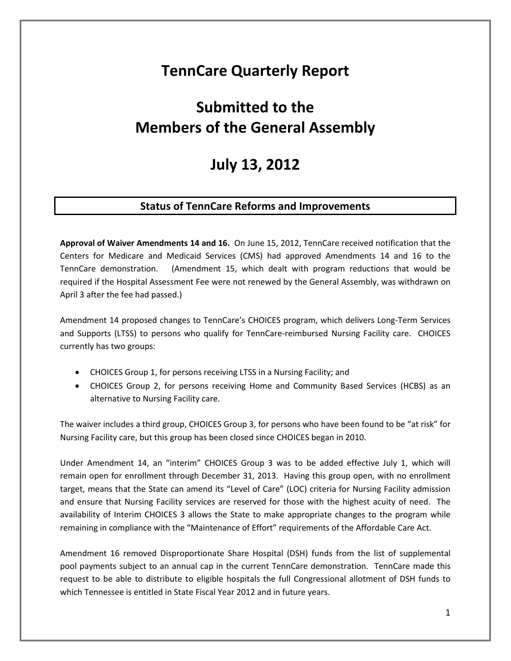## **TennCare Quarterly Report**

# **Submitted to the Members of the General Assembly**

## **July 13, 2012**

## **Status of TennCare Reforms and Improvements**

**Approval of Waiver Amendments 14 and 16.** On June 15, 2012, TennCare received notification that the Centers for Medicare and Medicaid Services (CMS) had approved Amendments 14 and 16 to the TennCare demonstration. (Amendment 15, which dealt with program reductions that would be required if the Hospital Assessment Fee were not renewed by the General Assembly, was withdrawn on April 3 after the fee had passed.)

Amendment 14 proposed changes to TennCare's CHOICES program, which delivers Long-Term Services and Supports (LTSS) to persons who qualify for TennCare-reimbursed Nursing Facility care. CHOICES currently has two groups:

- CHOICES Group 1, for persons receiving LTSS in a Nursing Facility; and
- CHOICES Group 2, for persons receiving Home and Community Based Services (HCBS) as an alternative to Nursing Facility care.

The waiver includes a third group, CHOICES Group 3, for persons who have been found to be "at risk" for Nursing Facility care, but this group has been closed since CHOICES began in 2010.

Under Amendment 14, an "interim" CHOICES Group 3 was to be added effective July 1, which will remain open for enrollment through December 31, 2013. Having this group open, with no enrollment target, means that the State can amend its "Level of Care" (LOC) criteria for Nursing Facility admission and ensure that Nursing Facility services are reserved for those with the highest acuity of need. The availability of Interim CHOICES 3 allows the State to make appropriate changes to the program while remaining in compliance with the "Maintenance of Effort" requirements of the Affordable Care Act.

Amendment 16 removed Disproportionate Share Hospital (DSH) funds from the list of supplemental pool payments subject to an annual cap in the current TennCare demonstration. TennCare made this request to be able to distribute to eligible hospitals the full Congressional allotment of DSH funds to which Tennessee is entitled in State Fiscal Year 2012 and in future years.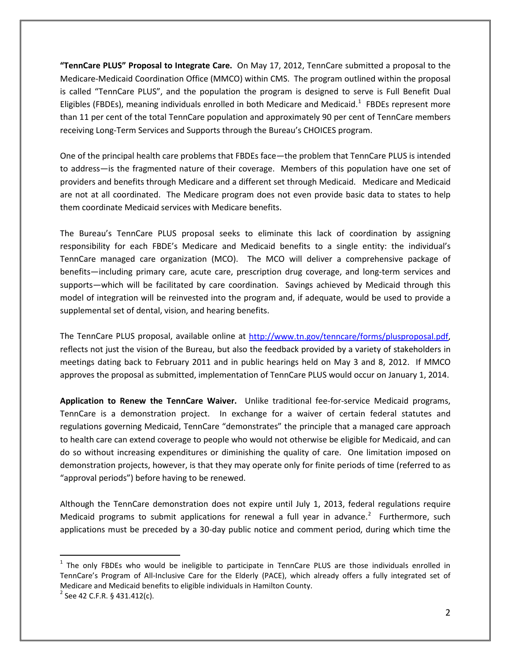**"TennCare PLUS" Proposal to Integrate Care.** On May 17, 2012, TennCare submitted a proposal to the Medicare-Medicaid Coordination Office (MMCO) within CMS. The program outlined within the proposal is called "TennCare PLUS", and the population the program is designed to serve is Full Benefit Dual Eligibles (FBDEs), meaning individuals enrolled in both Medicare and Medicaid.<sup>[1](#page-1-0)</sup> FBDEs represent more than 11 per cent of the total TennCare population and approximately 90 per cent of TennCare members receiving Long-Term Services and Supports through the Bureau's CHOICES program.

One of the principal health care problems that FBDEs face—the problem that TennCare PLUS is intended to address—is the fragmented nature of their coverage. Members of this population have one set of providers and benefits through Medicare and a different set through Medicaid. Medicare and Medicaid are not at all coordinated. The Medicare program does not even provide basic data to states to help them coordinate Medicaid services with Medicare benefits.

The Bureau's TennCare PLUS proposal seeks to eliminate this lack of coordination by assigning responsibility for each FBDE's Medicare and Medicaid benefits to a single entity: the individual's TennCare managed care organization (MCO). The MCO will deliver a comprehensive package of benefits—including primary care, acute care, prescription drug coverage, and long-term services and supports—which will be facilitated by care coordination. Savings achieved by Medicaid through this model of integration will be reinvested into the program and, if adequate, would be used to provide a supplemental set of dental, vision, and hearing benefits.

The TennCare PLUS proposal, available online at [http://www.tn.gov/tenncare/forms/plusproposal.pdf,](http://www.tn.gov/tenncare/forms/plusproposal.pdf) reflects not just the vision of the Bureau, but also the feedback provided by a variety of stakeholders in meetings dating back to February 2011 and in public hearings held on May 3 and 8, 2012. If MMCO approves the proposal as submitted, implementation of TennCare PLUS would occur on January 1, 2014.

**Application to Renew the TennCare Waiver.** Unlike traditional fee-for-service Medicaid programs, TennCare is a demonstration project. In exchange for a waiver of certain federal statutes and regulations governing Medicaid, TennCare "demonstrates" the principle that a managed care approach to health care can extend coverage to people who would not otherwise be eligible for Medicaid, and can do so without increasing expenditures or diminishing the quality of care. One limitation imposed on demonstration projects, however, is that they may operate only for finite periods of time (referred to as "approval periods") before having to be renewed.

Although the TennCare demonstration does not expire until July 1, 2013, federal regulations require Medicaid programs to submit applications for renewal a full year in advance.<sup>[2](#page-1-1)</sup> Furthermore, such applications must be preceded by a 30-day public notice and comment period, during which time the

<span id="page-1-0"></span> $1$  The only FBDEs who would be ineligible to participate in TennCare PLUS are those individuals enrolled in TennCare's Program of All-Inclusive Care for the Elderly (PACE), which already offers a fully integrated set of Medicare and Medicaid benefits to eligible individuals in Hamilton County.

<span id="page-1-1"></span> $^{2}$  See 42 C.F.R. § 431.412(c).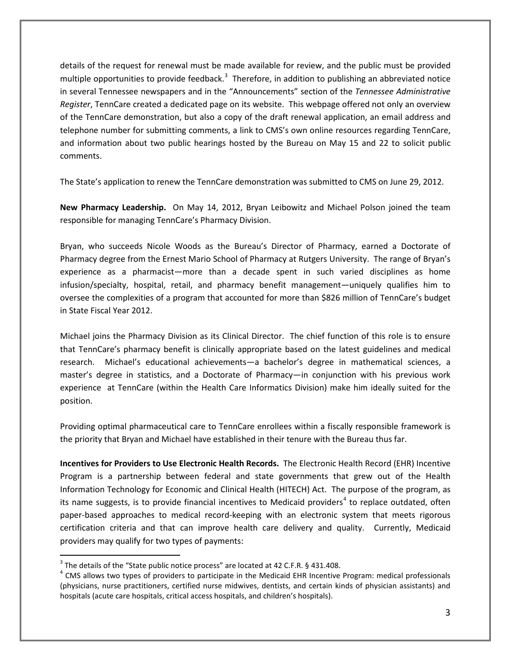details of the request for renewal must be made available for review, and the public must be provided multiple opportunities to provide feedback.<sup>[3](#page-2-0)</sup> Therefore, in addition to publishing an abbreviated notice in several Tennessee newspapers and in the "Announcements" section of the *Tennessee Administrative Register*, TennCare created a dedicated page on its website. This webpage offered not only an overview of the TennCare demonstration, but also a copy of the draft renewal application, an email address and telephone number for submitting comments, a link to CMS's own online resources regarding TennCare, and information about two public hearings hosted by the Bureau on May 15 and 22 to solicit public comments.

The State's application to renew the TennCare demonstration was submitted to CMS on June 29, 2012.

**New Pharmacy Leadership.** On May 14, 2012, Bryan Leibowitz and Michael Polson joined the team responsible for managing TennCare's Pharmacy Division.

Bryan, who succeeds Nicole Woods as the Bureau's Director of Pharmacy, earned a Doctorate of Pharmacy degree from the Ernest Mario School of Pharmacy at Rutgers University. The range of Bryan's experience as a pharmacist—more than a decade spent in such varied disciplines as home infusion/specialty, hospital, retail, and pharmacy benefit management—uniquely qualifies him to oversee the complexities of a program that accounted for more than \$826 million of TennCare's budget in State Fiscal Year 2012.

Michael joins the Pharmacy Division as its Clinical Director. The chief function of this role is to ensure that TennCare's pharmacy benefit is clinically appropriate based on the latest guidelines and medical research. Michael's educational achievements—a bachelor's degree in mathematical sciences, a master's degree in statistics, and a Doctorate of Pharmacy—in conjunction with his previous work experience at TennCare (within the Health Care Informatics Division) make him ideally suited for the position.

Providing optimal pharmaceutical care to TennCare enrollees within a fiscally responsible framework is the priority that Bryan and Michael have established in their tenure with the Bureau thus far.

**Incentives for Providers to Use Electronic Health Records.** The Electronic Health Record (EHR) Incentive Program is a partnership between federal and state governments that grew out of the Health Information Technology for Economic and Clinical Health (HITECH) Act. The purpose of the program, as its name suggests, is to provide financial incentives to Medicaid providers<sup>[4](#page-2-1)</sup> to replace outdated, often paper-based approaches to medical record-keeping with an electronic system that meets rigorous certification criteria and that can improve health care delivery and quality. Currently, Medicaid providers may qualify for two types of payments:

<span id="page-2-0"></span><sup>&</sup>lt;sup>3</sup> The details of the "State public notice process" are located at 42 C.F.R. § 431.408.

<span id="page-2-1"></span><sup>&</sup>lt;sup>4</sup> CMS allows two types of providers to participate in the Medicaid EHR Incentive Program: medical professionals (physicians, nurse practitioners, certified nurse midwives, dentists, and certain kinds of physician assistants) and hospitals (acute care hospitals, critical access hospitals, and children's hospitals).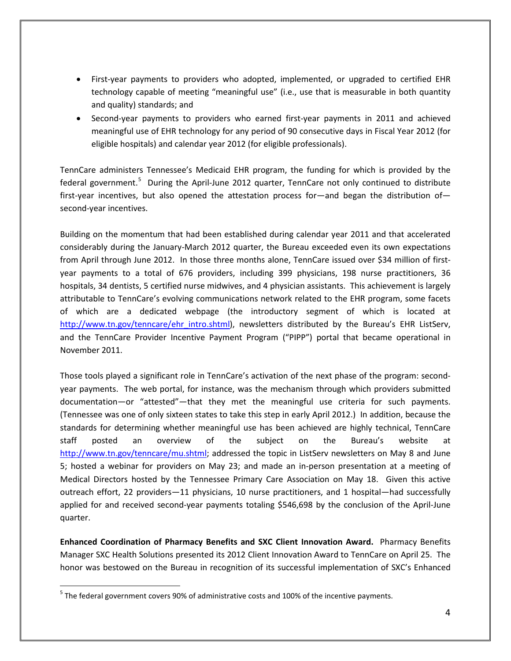- First-year payments to providers who adopted, implemented, or upgraded to certified EHR technology capable of meeting "meaningful use" (i.e., use that is measurable in both quantity and quality) standards; and
- Second-year payments to providers who earned first-year payments in 2011 and achieved meaningful use of EHR technology for any period of 90 consecutive days in Fiscal Year 2012 (for eligible hospitals) and calendar year 2012 (for eligible professionals).

TennCare administers Tennessee's Medicaid EHR program, the funding for which is provided by the federal government.<sup>[5](#page-3-0)</sup> During the April-June 2012 quarter, TennCare not only continued to distribute first-year incentives, but also opened the attestation process for—and began the distribution of second-year incentives.

Building on the momentum that had been established during calendar year 2011 and that accelerated considerably during the January-March 2012 quarter, the Bureau exceeded even its own expectations from April through June 2012. In those three months alone, TennCare issued over \$34 million of firstyear payments to a total of 676 providers, including 399 physicians, 198 nurse practitioners, 36 hospitals, 34 dentists, 5 certified nurse midwives, and 4 physician assistants. This achievement is largely attributable to TennCare's evolving communications network related to the EHR program, some facets of which are a dedicated webpage (the introductory segment of which is located at [http://www.tn.gov/tenncare/ehr\\_intro.shtml\)](http://www.tn.gov/tenncare/ehr_intro.shtml), newsletters distributed by the Bureau's EHR ListServ, and the TennCare Provider Incentive Payment Program ("PIPP") portal that became operational in November 2011.

Those tools played a significant role in TennCare's activation of the next phase of the program: secondyear payments. The web portal, for instance, was the mechanism through which providers submitted documentation—or "attested"—that they met the meaningful use criteria for such payments. (Tennessee was one of only sixteen states to take this step in early April 2012.) In addition, because the standards for determining whether meaningful use has been achieved are highly technical, TennCare staff posted an overview of the subject on the Bureau's website at [http://www.tn.gov/tenncare/mu.shtml;](http://www.tn.gov/tenncare/mu.shtml) addressed the topic in ListServ newsletters on May 8 and June 5; hosted a webinar for providers on May 23; and made an in-person presentation at a meeting of Medical Directors hosted by the Tennessee Primary Care Association on May 18. Given this active outreach effort, 22 providers—11 physicians, 10 nurse practitioners, and 1 hospital—had successfully applied for and received second-year payments totaling \$546,698 by the conclusion of the April-June quarter.

**Enhanced Coordination of Pharmacy Benefits and SXC Client Innovation Award.** Pharmacy Benefits Manager SXC Health Solutions presented its 2012 Client Innovation Award to TennCare on April 25. The honor was bestowed on the Bureau in recognition of its successful implementation of SXC's Enhanced

<span id="page-3-0"></span><sup>&</sup>lt;sup>5</sup> The federal government covers 90% of administrative costs and 100% of the incentive payments.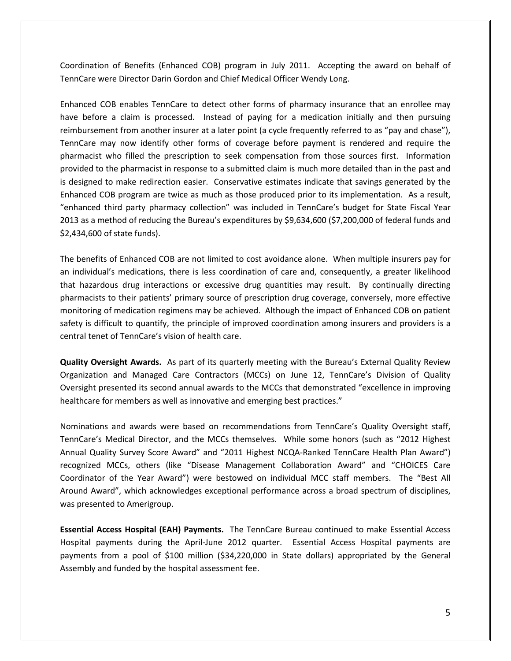Coordination of Benefits (Enhanced COB) program in July 2011. Accepting the award on behalf of TennCare were Director Darin Gordon and Chief Medical Officer Wendy Long.

Enhanced COB enables TennCare to detect other forms of pharmacy insurance that an enrollee may have before a claim is processed. Instead of paying for a medication initially and then pursuing reimbursement from another insurer at a later point (a cycle frequently referred to as "pay and chase"), TennCare may now identify other forms of coverage before payment is rendered and require the pharmacist who filled the prescription to seek compensation from those sources first. Information provided to the pharmacist in response to a submitted claim is much more detailed than in the past and is designed to make redirection easier. Conservative estimates indicate that savings generated by the Enhanced COB program are twice as much as those produced prior to its implementation. As a result, "enhanced third party pharmacy collection" was included in TennCare's budget for State Fiscal Year 2013 as a method of reducing the Bureau's expenditures by \$9,634,600 (\$7,200,000 of federal funds and \$2,434,600 of state funds).

The benefits of Enhanced COB are not limited to cost avoidance alone. When multiple insurers pay for an individual's medications, there is less coordination of care and, consequently, a greater likelihood that hazardous drug interactions or excessive drug quantities may result. By continually directing pharmacists to their patients' primary source of prescription drug coverage, conversely, more effective monitoring of medication regimens may be achieved. Although the impact of Enhanced COB on patient safety is difficult to quantify, the principle of improved coordination among insurers and providers is a central tenet of TennCare's vision of health care.

**Quality Oversight Awards.** As part of its quarterly meeting with the Bureau's External Quality Review Organization and Managed Care Contractors (MCCs) on June 12, TennCare's Division of Quality Oversight presented its second annual awards to the MCCs that demonstrated "excellence in improving healthcare for members as well as innovative and emerging best practices."

Nominations and awards were based on recommendations from TennCare's Quality Oversight staff, TennCare's Medical Director, and the MCCs themselves. While some honors (such as "2012 Highest Annual Quality Survey Score Award" and "2011 Highest NCQA-Ranked TennCare Health Plan Award") recognized MCCs, others (like "Disease Management Collaboration Award" and "CHOICES Care Coordinator of the Year Award") were bestowed on individual MCC staff members. The "Best All Around Award", which acknowledges exceptional performance across a broad spectrum of disciplines, was presented to Amerigroup.

**Essential Access Hospital (EAH) Payments.** The TennCare Bureau continued to make Essential Access Hospital payments during the April-June 2012 quarter. Essential Access Hospital payments are payments from a pool of \$100 million (\$34,220,000 in State dollars) appropriated by the General Assembly and funded by the hospital assessment fee.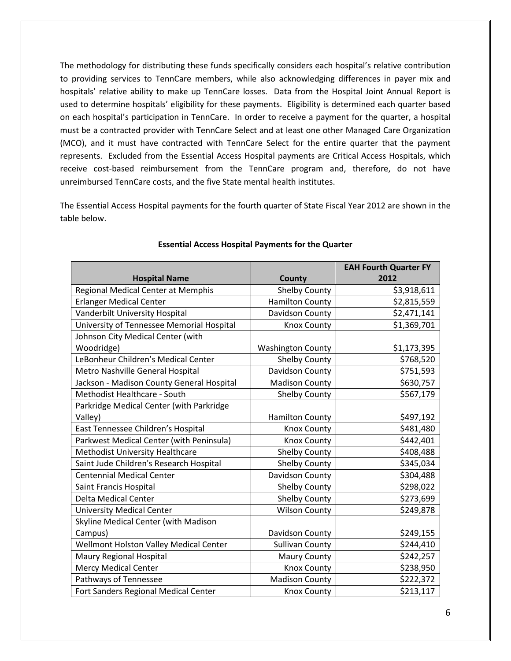The methodology for distributing these funds specifically considers each hospital's relative contribution to providing services to TennCare members, while also acknowledging differences in payer mix and hospitals' relative ability to make up TennCare losses. Data from the Hospital Joint Annual Report is used to determine hospitals' eligibility for these payments. Eligibility is determined each quarter based on each hospital's participation in TennCare. In order to receive a payment for the quarter, a hospital must be a contracted provider with TennCare Select and at least one other Managed Care Organization (MCO), and it must have contracted with TennCare Select for the entire quarter that the payment represents. Excluded from the Essential Access Hospital payments are Critical Access Hospitals, which receive cost-based reimbursement from the TennCare program and, therefore, do not have unreimbursed TennCare costs, and the five State mental health institutes.

The Essential Access Hospital payments for the fourth quarter of State Fiscal Year 2012 are shown in the table below.

|                                           |                          | <b>EAH Fourth Quarter FY</b> |
|-------------------------------------------|--------------------------|------------------------------|
| <b>Hospital Name</b>                      | County                   | 2012                         |
| Regional Medical Center at Memphis        | <b>Shelby County</b>     | \$3,918,611                  |
| <b>Erlanger Medical Center</b>            | <b>Hamilton County</b>   | \$2,815,559                  |
| Vanderbilt University Hospital            | Davidson County          | \$2,471,141                  |
| University of Tennessee Memorial Hospital | <b>Knox County</b>       | \$1,369,701                  |
| Johnson City Medical Center (with         |                          |                              |
| Woodridge)                                | <b>Washington County</b> | \$1,173,395                  |
| LeBonheur Children's Medical Center       | <b>Shelby County</b>     | \$768,520                    |
| Metro Nashville General Hospital          | Davidson County          | \$751,593                    |
| Jackson - Madison County General Hospital | <b>Madison County</b>    | \$630,757                    |
| Methodist Healthcare - South              | <b>Shelby County</b>     | \$567,179                    |
| Parkridge Medical Center (with Parkridge  |                          |                              |
| Valley)                                   | <b>Hamilton County</b>   | \$497,192                    |
| East Tennessee Children's Hospital        | <b>Knox County</b>       | \$481,480                    |
| Parkwest Medical Center (with Peninsula)  | <b>Knox County</b>       | \$442,401                    |
| <b>Methodist University Healthcare</b>    | <b>Shelby County</b>     | \$408,488                    |
| Saint Jude Children's Research Hospital   | <b>Shelby County</b>     | \$345,034                    |
| <b>Centennial Medical Center</b>          | Davidson County          | \$304,488                    |
| Saint Francis Hospital                    | <b>Shelby County</b>     | \$298,022                    |
| Delta Medical Center                      | <b>Shelby County</b>     | \$273,699                    |
| <b>University Medical Center</b>          | <b>Wilson County</b>     | \$249,878                    |
| Skyline Medical Center (with Madison      |                          |                              |
| Campus)                                   | Davidson County          | \$249,155                    |
| Wellmont Holston Valley Medical Center    | <b>Sullivan County</b>   | \$244,410                    |
| <b>Maury Regional Hospital</b>            | <b>Maury County</b>      | \$242,257                    |
| Mercy Medical Center                      | <b>Knox County</b>       | \$238,950                    |
| Pathways of Tennessee                     | <b>Madison County</b>    | \$222,372                    |
| Fort Sanders Regional Medical Center      | <b>Knox County</b>       | \$213,117                    |

#### **Essential Access Hospital Payments for the Quarter**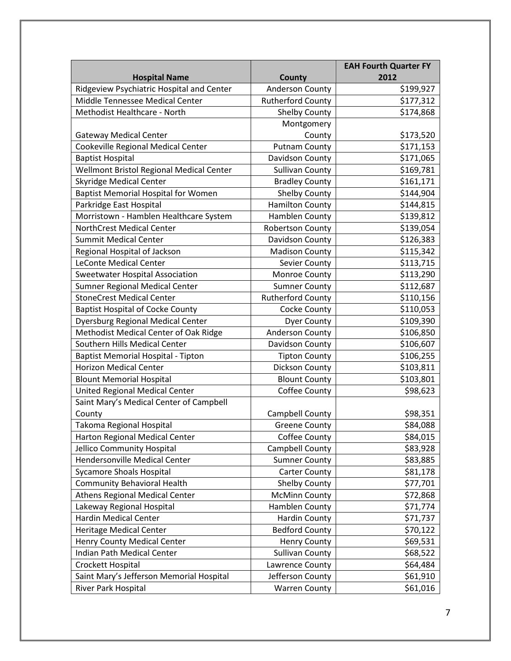|                                            |                          | <b>EAH Fourth Quarter FY</b> |
|--------------------------------------------|--------------------------|------------------------------|
| <b>Hospital Name</b>                       | County                   | 2012                         |
| Ridgeview Psychiatric Hospital and Center  | <b>Anderson County</b>   | \$199,927                    |
| Middle Tennessee Medical Center            | <b>Rutherford County</b> | \$177,312                    |
| Methodist Healthcare - North               | <b>Shelby County</b>     | \$174,868                    |
|                                            | Montgomery               |                              |
| <b>Gateway Medical Center</b>              | County                   | \$173,520                    |
| Cookeville Regional Medical Center         | <b>Putnam County</b>     | \$171,153                    |
| <b>Baptist Hospital</b>                    | Davidson County          | \$171,065                    |
| Wellmont Bristol Regional Medical Center   | <b>Sullivan County</b>   | \$169,781                    |
| <b>Skyridge Medical Center</b>             | <b>Bradley County</b>    | \$161,171                    |
| <b>Baptist Memorial Hospital for Women</b> | <b>Shelby County</b>     | \$144,904                    |
| Parkridge East Hospital                    | <b>Hamilton County</b>   | \$144,815                    |
| Morristown - Hamblen Healthcare System     | Hamblen County           | \$139,812                    |
| NorthCrest Medical Center                  | <b>Robertson County</b>  | \$139,054                    |
| <b>Summit Medical Center</b>               | Davidson County          | \$126,383                    |
| Regional Hospital of Jackson               | <b>Madison County</b>    | \$115,342                    |
| <b>LeConte Medical Center</b>              | Sevier County            | \$113,715                    |
| <b>Sweetwater Hospital Association</b>     | Monroe County            | \$113,290                    |
| Sumner Regional Medical Center             | <b>Sumner County</b>     | \$112,687                    |
| <b>StoneCrest Medical Center</b>           | <b>Rutherford County</b> | \$110,156                    |
| <b>Baptist Hospital of Cocke County</b>    | Cocke County             | \$110,053                    |
| <b>Dyersburg Regional Medical Center</b>   | <b>Dyer County</b>       | \$109,390                    |
| Methodist Medical Center of Oak Ridge      | Anderson County          | \$106,850                    |
| Southern Hills Medical Center              | Davidson County          | \$106,607                    |
| <b>Baptist Memorial Hospital - Tipton</b>  | <b>Tipton County</b>     | \$106,255                    |
| <b>Horizon Medical Center</b>              | Dickson County           | \$103,811                    |
| <b>Blount Memorial Hospital</b>            | <b>Blount County</b>     | \$103,801                    |
| United Regional Medical Center             | Coffee County            | \$98,623                     |
| Saint Mary's Medical Center of Campbell    |                          |                              |
| County                                     | Campbell County          | \$98,351                     |
| Takoma Regional Hospital                   | <b>Greene County</b>     | \$84,088                     |
| Harton Regional Medical Center             | Coffee County            | \$84,015                     |
| Jellico Community Hospital                 | Campbell County          | \$83,928                     |
| Hendersonville Medical Center              | <b>Sumner County</b>     | \$83,885                     |
| <b>Sycamore Shoals Hospital</b>            | <b>Carter County</b>     | \$81,178                     |
| <b>Community Behavioral Health</b>         | Shelby County            | \$77,701                     |
| <b>Athens Regional Medical Center</b>      | <b>McMinn County</b>     | \$72,868                     |
| Lakeway Regional Hospital                  | Hamblen County           | \$71,774                     |
| <b>Hardin Medical Center</b>               | <b>Hardin County</b>     | \$71,737                     |
| <b>Heritage Medical Center</b>             | <b>Bedford County</b>    | \$70,122                     |
| <b>Henry County Medical Center</b>         | <b>Henry County</b>      | \$69,531                     |
| Indian Path Medical Center                 | <b>Sullivan County</b>   | \$68,522                     |
| Crockett Hospital                          | Lawrence County          | \$64,484                     |
| Saint Mary's Jefferson Memorial Hospital   | Jefferson County         | \$61,910                     |
| River Park Hospital                        | <b>Warren County</b>     | \$61,016                     |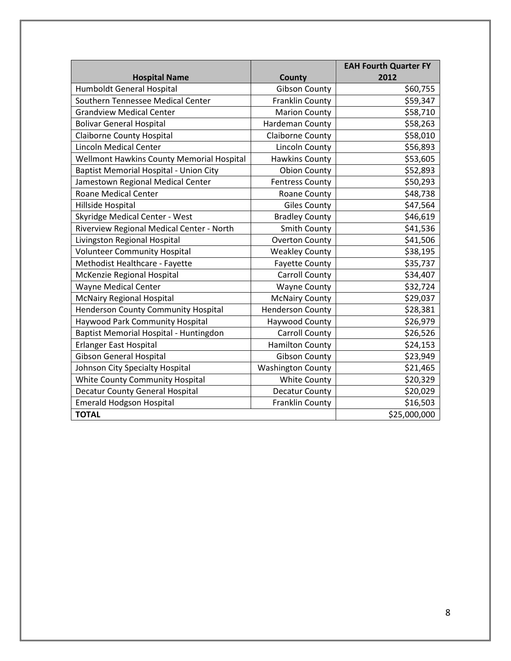|                                               |                          | <b>EAH Fourth Quarter FY</b> |
|-----------------------------------------------|--------------------------|------------------------------|
| <b>Hospital Name</b>                          | County                   | 2012                         |
| Humboldt General Hospital                     | <b>Gibson County</b>     | \$60,755                     |
| Southern Tennessee Medical Center             | Franklin County          | \$59,347                     |
| <b>Grandview Medical Center</b>               | <b>Marion County</b>     | \$58,710                     |
| <b>Bolivar General Hospital</b>               | Hardeman County          | \$58,263                     |
| <b>Claiborne County Hospital</b>              | Claiborne County         | \$58,010                     |
| <b>Lincoln Medical Center</b>                 | <b>Lincoln County</b>    | \$56,893                     |
| Wellmont Hawkins County Memorial Hospital     | <b>Hawkins County</b>    | \$53,605                     |
| <b>Baptist Memorial Hospital - Union City</b> | <b>Obion County</b>      | \$52,893                     |
| Jamestown Regional Medical Center             | <b>Fentress County</b>   | \$50,293                     |
| <b>Roane Medical Center</b>                   | Roane County             | \$48,738                     |
| Hillside Hospital                             | <b>Giles County</b>      | \$47,564                     |
| Skyridge Medical Center - West                | <b>Bradley County</b>    | \$46,619                     |
| Riverview Regional Medical Center - North     | <b>Smith County</b>      | \$41,536                     |
| Livingston Regional Hospital                  | <b>Overton County</b>    | \$41,506                     |
| <b>Volunteer Community Hospital</b>           | <b>Weakley County</b>    | \$38,195                     |
| Methodist Healthcare - Fayette                | <b>Fayette County</b>    | \$35,737                     |
| McKenzie Regional Hospital                    | <b>Carroll County</b>    | \$34,407                     |
| <b>Wayne Medical Center</b>                   | <b>Wayne County</b>      | \$32,724                     |
| <b>McNairy Regional Hospital</b>              | <b>McNairy County</b>    | \$29,037                     |
| Henderson County Community Hospital           | <b>Henderson County</b>  | \$28,381                     |
| Haywood Park Community Hospital               | Haywood County           | \$26,979                     |
| Baptist Memorial Hospital - Huntingdon        | <b>Carroll County</b>    | \$26,526                     |
| <b>Erlanger East Hospital</b>                 | <b>Hamilton County</b>   | \$24,153                     |
| <b>Gibson General Hospital</b>                | <b>Gibson County</b>     | \$23,949                     |
| Johnson City Specialty Hospital               | <b>Washington County</b> | \$21,465                     |
| White County Community Hospital               | <b>White County</b>      | \$20,329                     |
| <b>Decatur County General Hospital</b>        | Decatur County           | \$20,029                     |
| <b>Emerald Hodgson Hospital</b>               | Franklin County          | \$16,503                     |
| <b>TOTAL</b>                                  |                          | \$25,000,000                 |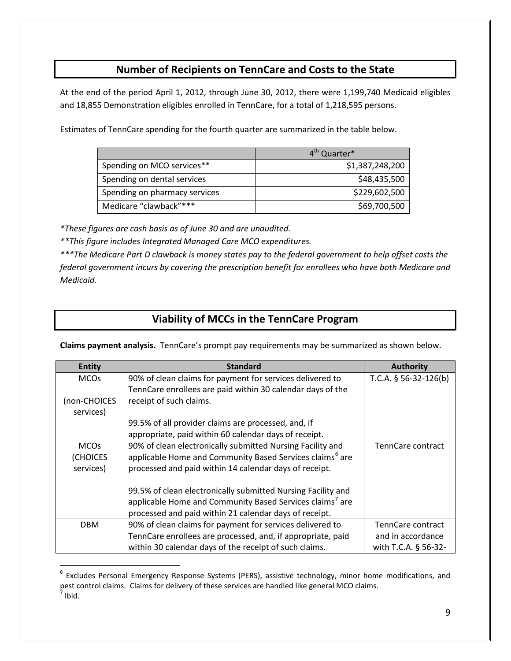## **Number of Recipients on TennCare and Costs to the State**

At the end of the period April 1, 2012, through June 30, 2012, there were 1,199,740 Medicaid eligibles and 18,855 Demonstration eligibles enrolled in TennCare, for a total of 1,218,595 persons.

Estimates of TennCare spending for the fourth quarter are summarized in the table below.

|                               | 4 <sup>th</sup> Quarter* |
|-------------------------------|--------------------------|
| Spending on MCO services**    | \$1,387,248,200          |
| Spending on dental services   | \$48,435,500             |
| Spending on pharmacy services | \$229,602,500            |
| Medicare "clawback"***        | \$69,700,500             |

*\*These figures are cash basis as of June 30 and are unaudited.*

*\*\*This figure includes Integrated Managed Care MCO expenditures.*

*\*\*\*The Medicare Part D clawback is money states pay to the federal government to help offset costs the federal government incurs by covering the prescription benefit for enrollees who have both Medicare and Medicaid.*

## **Viability of MCCs in the TennCare Program**

**Claims payment analysis.** TennCare's prompt pay requirements may be summarized as shown below.

| <b>Entity</b>          | <b>Standard</b>                                                      | <b>Authority</b>         |
|------------------------|----------------------------------------------------------------------|--------------------------|
| <b>MCOs</b>            | 90% of clean claims for payment for services delivered to            | T.C.A. $§$ 56-32-126(b)  |
|                        | TennCare enrollees are paid within 30 calendar days of the           |                          |
| (non-CHOICES           | receipt of such claims.                                              |                          |
| services)              |                                                                      |                          |
|                        | 99.5% of all provider claims are processed, and, if                  |                          |
|                        | appropriate, paid within 60 calendar days of receipt.                |                          |
| <b>MCO<sub>s</sub></b> | 90% of clean electronically submitted Nursing Facility and           | <b>TennCare contract</b> |
| (CHOICES               | applicable Home and Community Based Services claims <sup>6</sup> are |                          |
| services)              | processed and paid within 14 calendar days of receipt.               |                          |
|                        | 99.5% of clean electronically submitted Nursing Facility and         |                          |
|                        | applicable Home and Community Based Services claims <sup>7</sup> are |                          |
|                        | processed and paid within 21 calendar days of receipt.               |                          |
| <b>DBM</b>             | 90% of clean claims for payment for services delivered to            | TennCare contract        |
|                        | TennCare enrollees are processed, and, if appropriate, paid          | and in accordance        |
|                        |                                                                      |                          |
|                        | within 30 calendar days of the receipt of such claims.               | with T.C.A. § 56-32-     |

<span id="page-8-1"></span><span id="page-8-0"></span><sup>&</sup>lt;sup>6</sup> Excludes Personal Emergency Response Systems (PERS), assistive technology, minor home modifications, and pest control claims. Claims for delivery of these services are handled like general MCO claims.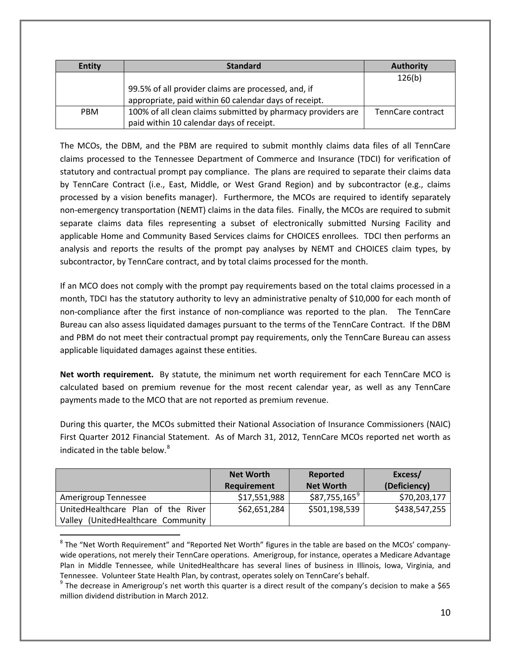| <b>Entity</b> | <b>Standard</b>                                              | <b>Authority</b>  |
|---------------|--------------------------------------------------------------|-------------------|
|               |                                                              | 126(b)            |
|               | 99.5% of all provider claims are processed, and, if          |                   |
|               | appropriate, paid within 60 calendar days of receipt.        |                   |
| <b>PBM</b>    | 100% of all clean claims submitted by pharmacy providers are | TennCare contract |
|               | paid within 10 calendar days of receipt.                     |                   |

The MCOs, the DBM, and the PBM are required to submit monthly claims data files of all TennCare claims processed to the Tennessee Department of Commerce and Insurance (TDCI) for verification of statutory and contractual prompt pay compliance. The plans are required to separate their claims data by TennCare Contract (i.e., East, Middle, or West Grand Region) and by subcontractor (e.g., claims processed by a vision benefits manager). Furthermore, the MCOs are required to identify separately non-emergency transportation (NEMT) claims in the data files. Finally, the MCOs are required to submit separate claims data files representing a subset of electronically submitted Nursing Facility and applicable Home and Community Based Services claims for CHOICES enrollees. TDCI then performs an analysis and reports the results of the prompt pay analyses by NEMT and CHOICES claim types, by subcontractor, by TennCare contract, and by total claims processed for the month.

If an MCO does not comply with the prompt pay requirements based on the total claims processed in a month, TDCI has the statutory authority to levy an administrative penalty of \$10,000 for each month of non-compliance after the first instance of non-compliance was reported to the plan. The TennCare Bureau can also assess liquidated damages pursuant to the terms of the TennCare Contract. If the DBM and PBM do not meet their contractual prompt pay requirements, only the TennCare Bureau can assess applicable liquidated damages against these entities.

**Net worth requirement.** By statute, the minimum net worth requirement for each TennCare MCO is calculated based on premium revenue for the most recent calendar year, as well as any TennCare payments made to the MCO that are not reported as premium revenue.

During this quarter, the MCOs submitted their National Association of Insurance Commissioners (NAIC) First Quarter 2012 Financial Statement. As of March 31, 2012, TennCare MCOs reported net worth as indicated in the table below. $8$ 

|                                       | <b>Net Worth</b> | Reported         | Excess/       |
|---------------------------------------|------------------|------------------|---------------|
|                                       | Requirement      | <b>Net Worth</b> | (Deficiency)  |
| Amerigroup Tennessee                  | \$17,551,988     | $$87,755,165^9$  | \$70,203,177  |
| UnitedHealthcare Plan of the River    | \$62,651,284     | \$501,198,539    | \$438,547,255 |
| (UnitedHealthcare Community<br>Valley |                  |                  |               |

<span id="page-9-0"></span> $8$  The "Net Worth Requirement" and "Reported Net Worth" figures in the table are based on the MCOs' companywide operations, not merely their TennCare operations. Amerigroup, for instance, operates a Medicare Advantage Plan in Middle Tennessee, while UnitedHealthcare has several lines of business in Illinois, Iowa, Virginia, and Tennessee. Volunteer State Health Plan, by contrast, operates solely on TennCare's behalf.

<span id="page-9-1"></span> $9$  The decrease in Amerigroup's net worth this quarter is a direct result of the company's decision to make a \$65 million dividend distribution in March 2012.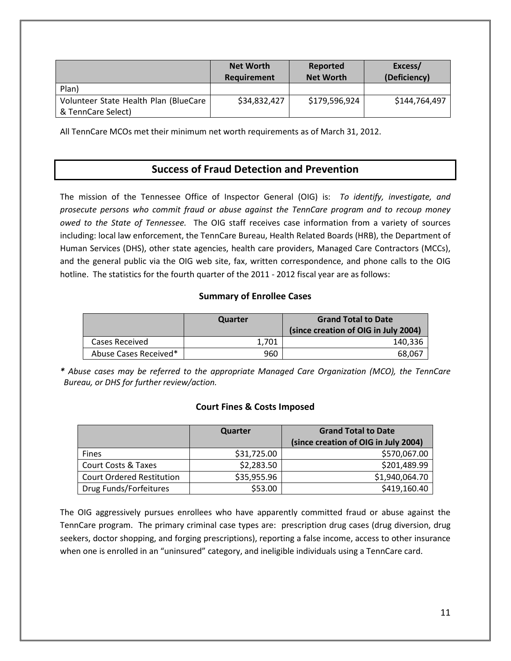|                                       | <b>Net Worth</b><br>Requirement | Reported<br><b>Net Worth</b> | Excess/<br>(Deficiency) |
|---------------------------------------|---------------------------------|------------------------------|-------------------------|
| Plan)                                 |                                 |                              |                         |
| Volunteer State Health Plan (BlueCare | \$34,832,427                    | \$179,596,924                | \$144,764,497           |
| & TennCare Select)                    |                                 |                              |                         |

All TennCare MCOs met their minimum net worth requirements as of March 31, 2012.

## **Success of Fraud Detection and Prevention**

The mission of the Tennessee Office of Inspector General (OIG) is: *To identify, investigate, and prosecute persons who commit fraud or abuse against the TennCare program and to recoup money owed to the State of Tennessee.* The OIG staff receives case information from a variety of sources including: local law enforcement, the TennCare Bureau, Health Related Boards (HRB), the Department of Human Services (DHS), other state agencies, health care providers, Managed Care Contractors (MCCs), and the general public via the OIG web site, fax, written correspondence, and phone calls to the OIG hotline. The statistics for the fourth quarter of the 2011 - 2012 fiscal year are as follows:

### **Summary of Enrollee Cases**

|                       | Quarter | <b>Grand Total to Date</b><br>(since creation of OIG in July 2004) |
|-----------------------|---------|--------------------------------------------------------------------|
| Cases Received        | 1.701   | 140,336                                                            |
| Abuse Cases Received* | 960     | 68,067                                                             |

*\* Abuse cases may be referred to the appropriate Managed Care Organization (MCO), the TennCare Bureau, or DHS for further review/action.*

### **Court Fines & Costs Imposed**

|                                  | Quarter     | <b>Grand Total to Date</b>           |
|----------------------------------|-------------|--------------------------------------|
|                                  |             | (since creation of OIG in July 2004) |
| <b>Fines</b>                     | \$31,725.00 | \$570,067.00                         |
| <b>Court Costs &amp; Taxes</b>   | \$2,283.50  | \$201,489.99                         |
| <b>Court Ordered Restitution</b> | \$35,955.96 | \$1,940,064.70                       |
| Drug Funds/Forfeitures           | \$53.00     | \$419,160.40                         |

The OIG aggressively pursues enrollees who have apparently committed fraud or abuse against the TennCare program. The primary criminal case types are: prescription drug cases (drug diversion, drug seekers, doctor shopping, and forging prescriptions), reporting a false income, access to other insurance when one is enrolled in an "uninsured" category, and ineligible individuals using a TennCare card.